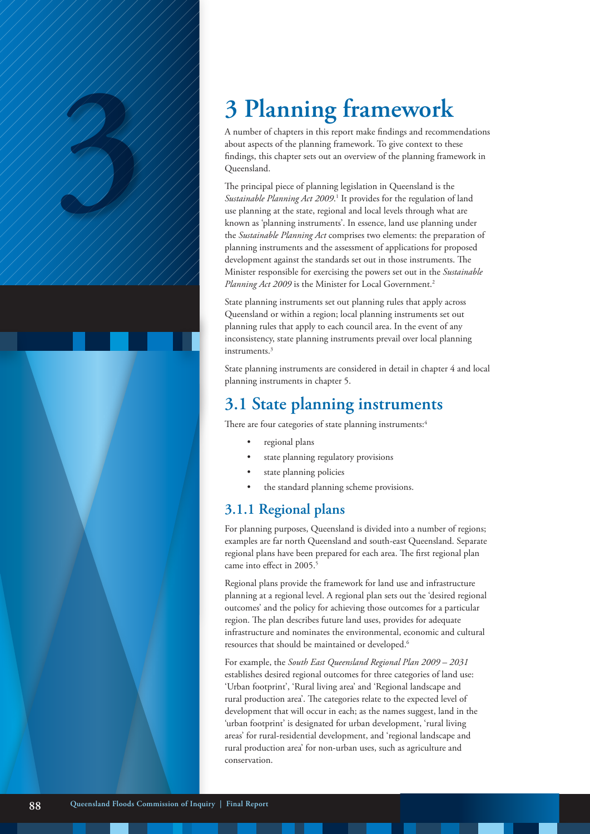A number of chapters in this report make findings and recommendations about aspects of the planning framework. To give context to these findings, this chapter sets out an overview of the planning framework in Queensland.

3 **Planning framework**<br>
A number of chapters in this report make findings and recommend<br>
about aspects of the planning framework. To give context to the<br>
findings, this chapter sets out an overview of the planning framewor The principal piece of planning legislation in Queensland is the Sustainable Planning Act 2009.<sup>1</sup> It provides for the regulation of land use planning at the state, regional and local levels through what are known as 'planning instruments'. In essence, land use planning under the *Sustainable Planning Act* comprises two elements: the preparation of planning instruments and the assessment of applications for proposed development against the standards set out in those instruments. The Minister responsible for exercising the powers set out in the *Sustainable*  Planning Act 2009 is the Minister for Local Government.<sup>2</sup>

> State planning instruments set out planning rules that apply across Queensland or within a region; local planning instruments set out planning rules that apply to each council area. In the event of any inconsistency, state planning instruments prevail over local planning instruments.3

State planning instruments are considered in detail in chapter 4 and local planning instruments in chapter 5.

# **3.1 State planning instruments**

There are four categories of state planning instruments:<sup>4</sup>

- regional plans
- state planning regulatory provisions
- state planning policies
- the standard planning scheme provisions.

### **3.1.1 Regional plans**

For planning purposes, Queensland is divided into a number of regions; examples are far north Queensland and south-east Queensland. Separate regional plans have been prepared for each area. The first regional plan came into effect in 2005.<sup>5</sup>

Regional plans provide the framework for land use and infrastructure planning at a regional level. A regional plan sets out the 'desired regional outcomes' and the policy for achieving those outcomes for a particular region. The plan describes future land uses, provides for adequate infrastructure and nominates the environmental, economic and cultural resources that should be maintained or developed.6

For example, the *South East Queensland Regional Plan 2009 – 2031*  establishes desired regional outcomes for three categories of land use: 'Urban footprint', 'Rural living area' and 'Regional landscape and rural production area'. The categories relate to the expected level of development that will occur in each; as the names suggest, land in the 'urban footprint' is designated for urban development, 'rural living areas' for rural-residential development, and 'regional landscape and rural production area' for non-urban uses, such as agriculture and conservation.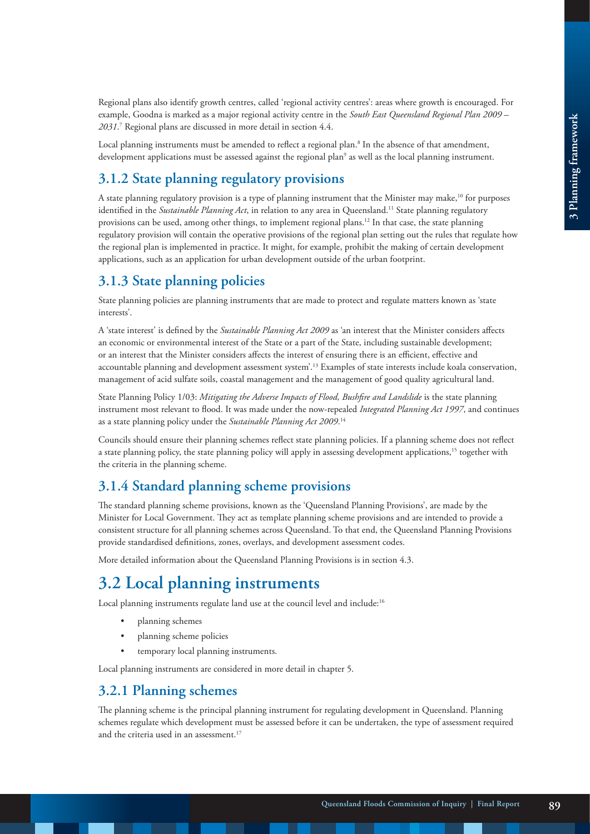Regional plans also identify growth centres, called 'regional activity centres': areas where growth is encouraged. For example, Goodna is marked as a major regional activity centre in the *South East Queensland Regional Plan 2009 – 2031*. <sup>7</sup> Regional plans are discussed in more detail in section 4.4.

Local planning instruments must be amended to reflect a regional plan.8 In the absence of that amendment, development applications must be assessed against the regional plan9 as well as the local planning instrument.

# **3.1.2 State planning regulatory provisions**

A state planning regulatory provision is a type of planning instrument that the Minister may make,<sup>10</sup> for purposes identified in the *Sustainable Planning Act*, in relation to any area in Queensland.<sup>11</sup> State planning regulatory provisions can be used, among other things, to implement regional plans.12 In that case, the state planning regulatory provision will contain the operative provisions of the regional plan setting out the rules that regulate how the regional plan is implemented in practice. It might, for example, prohibit the making of certain development applications, such as an application for urban development outside of the urban footprint.

# **3.1.3 State planning policies**

State planning policies are planning instruments that are made to protect and regulate matters known as 'state interests'.

A 'state interest' is defined by the *Sustainable Planning Act 2009* as 'an interest that the Minister considers affects an economic or environmental interest of the State or a part of the State, including sustainable development; or an interest that the Minister considers affects the interest of ensuring there is an efficient, effective and accountable planning and development assessment system'.13 Examples of state interests include koala conservation, management of acid sulfate soils, coastal management and the management of good quality agricultural land.

State Planning Policy 1/03: *Mitigating the Adverse Impacts of Flood, Bushfire and Landslide* is the state planning instrument most relevant to flood. It was made under the now-repealed *Integrated Planning Act 1997*, and continues as a state planning policy under the *Sustainable Planning Act 2009*. 14

Councils should ensure their planning schemes reflect state planning policies. If a planning scheme does not reflect a state planning policy, the state planning policy will apply in assessing development applications,<sup>15</sup> together with the criteria in the planning scheme.

# **3.1.4 Standard planning scheme provisions**

The standard planning scheme provisions, known as the 'Queensland Planning Provisions', are made by the Minister for Local Government. They act as template planning scheme provisions and are intended to provide a consistent structure for all planning schemes across Queensland. To that end, the Queensland Planning Provisions provide standardised definitions, zones, overlays, and development assessment codes.

More detailed information about the Queensland Planning Provisions is in section 4.3.

# **3.2 Local planning instruments**

Local planning instruments regulate land use at the council level and include:16

- planning schemes
- planning scheme policies
- temporary local planning instruments.

Local planning instruments are considered in more detail in chapter 5.

## **3.2.1 Planning schemes**

The planning scheme is the principal planning instrument for regulating development in Queensland. Planning schemes regulate which development must be assessed before it can be undertaken, the type of assessment required and the criteria used in an assessment.17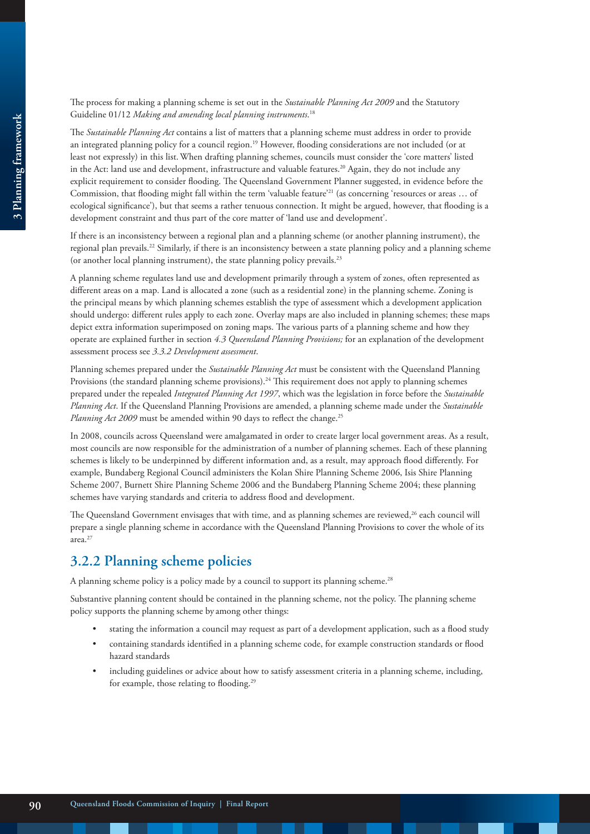#### The process for making a planning scheme is set out in the *Sustainable Planning Act 2009* and the Statutory Guideline 01/12 *Making and amending local planning instruments*. 18

The *Sustainable Planning Act* contains a list of matters that a planning scheme must address in order to provide an integrated planning policy for a council region.19 However, flooding considerations are not included (or at least not expressly) in this list.When drafting planning schemes, councils must consider the 'core matters' listed in the Act: land use and development, infrastructure and valuable features.<sup>20</sup> Again, they do not include any explicit requirement to consider flooding. The Queensland Government Planner suggested, in evidence before the Commission, that flooding might fall within the term 'valuable feature'<sup>21</sup> (as concerning 'resources or areas ... of ecological significance'), but that seems a rather tenuous connection. It might be argued, however, that flooding is a development constraint and thus part of the core matter of 'land use and development'.

If there is an inconsistency between a regional plan and a planning scheme (or another planning instrument), the regional plan prevails.22 Similarly, if there is an inconsistency between a state planning policy and a planning scheme (or another local planning instrument), the state planning policy prevails.<sup>23</sup>

A planning scheme regulates land use and development primarily through a system of zones, often represented as different areas on a map. Land is allocated a zone (such as a residential zone) in the planning scheme. Zoning is the principal means by which planning schemes establish the type of assessment which a development application should undergo: different rules apply to each zone. Overlay maps are also included in planning schemes; these maps depict extra information superimposed on zoning maps. The various parts of a planning scheme and how they operate are explained further in section *4.3 Queensland Planning Provisions;* for an explanation of the development assessment process see *3.3.2 Development assessment*.

Planning schemes prepared under the *Sustainable Planning Act* must be consistent with the Queensland Planning Provisions (the standard planning scheme provisions).<sup>24</sup> This requirement does not apply to planning schemes prepared under the repealed *Integrated Planning Act 1997*, which was the legislation in force before the *Sustainable Planning Act*. If the Queensland Planning Provisions are amended, a planning scheme made under the *Sustainable Planning Act 2009* must be amended within 90 days to reflect the change.<sup>25</sup>

In 2008, councils across Queensland were amalgamated in order to create larger local government areas. As a result, most councils are now responsible for the administration of a number of planning schemes. Each of these planning schemes is likely to be underpinned by different information and, as a result, may approach flood differently. For example, Bundaberg Regional Council administers the Kolan Shire Planning Scheme 2006, Isis Shire Planning Scheme 2007, Burnett Shire Planning Scheme 2006 and the Bundaberg Planning Scheme 2004; these planning schemes have varying standards and criteria to address flood and development.

The Queensland Government envisages that with time, and as planning schemes are reviewed,<sup>26</sup> each council will prepare a single planning scheme in accordance with the Queensland Planning Provisions to cover the whole of its area.27

## **3.2.2 Planning scheme policies**

A planning scheme policy is a policy made by a council to support its planning scheme.<sup>28</sup>

Substantive planning content should be contained in the planning scheme, not the policy. The planning scheme policy supports the planning scheme by among other things:

- stating the information a council may request as part of a development application, such as a flood study
- containing standards identified in a planning scheme code, for example construction standards or flood hazard standards
- including guidelines or advice about how to satisfy assessment criteria in a planning scheme, including, for example, those relating to flooding.<sup>29</sup>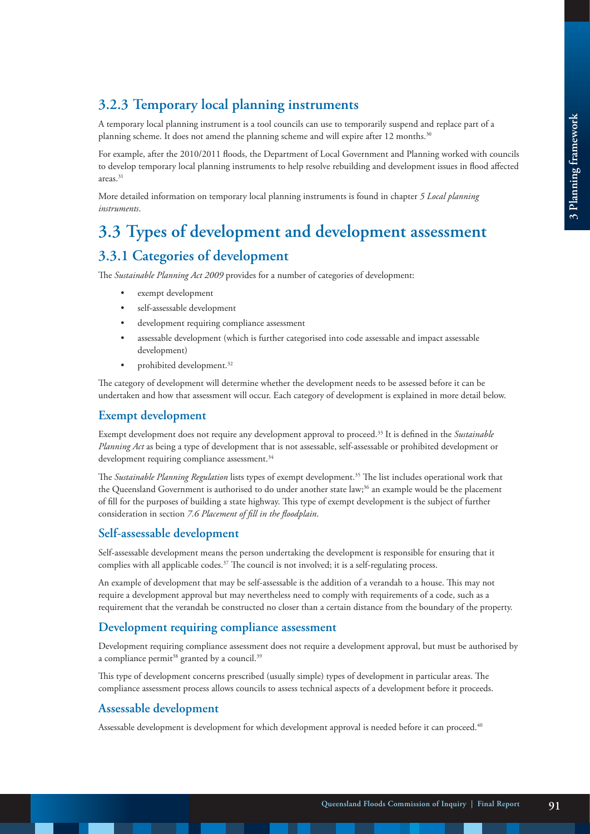# **3.2.3 Temporary local planning instruments**

A temporary local planning instrument is a tool councils can use to temporarily suspend and replace part of a planning scheme. It does not amend the planning scheme and will expire after 12 months.<sup>30</sup>

For example, after the 2010/2011 floods, the Department of Local Government and Planning worked with councils to develop temporary local planning instruments to help resolve rebuilding and development issues in flood affected areas.31

More detailed information on temporary local planning instruments is found in chapter *5 Local planning instruments*.

# **3.3 Types of development and development assessment**

# **3.3.1 Categories of development**

The *Sustainable Planning Act 2009* provides for a number of categories of development:

- exempt development
- self-assessable development
- development requiring compliance assessment
- assessable development (which is further categorised into code assessable and impact assessable development)
- prohibited development.<sup>32</sup>

The category of development will determine whether the development needs to be assessed before it can be undertaken and how that assessment will occur. Each category of development is explained in more detail below.

### **Exempt development**

Exempt development does not require any development approval to proceed.33 It is defined in the *Sustainable Planning Act* as being a type of development that is not assessable, self-assessable or prohibited development or development requiring compliance assessment.<sup>34</sup>

The *Sustainable Planning Regulation* lists types of exempt development.35 The list includes operational work that the Queensland Government is authorised to do under another state law;<sup>36</sup> an example would be the placement of fill for the purposes of building a state highway. This type of exempt development is the subject of further consideration in section *7.6 Placement of fill in the floodplain*.

### **Self-assessable development**

Self-assessable development means the person undertaking the development is responsible for ensuring that it complies with all applicable codes.<sup>37</sup> The council is not involved; it is a self-regulating process.

An example of development that may be self-assessable is the addition of a verandah to a house. This may not require a development approval but may nevertheless need to comply with requirements of a code, such as a requirement that the verandah be constructed no closer than a certain distance from the boundary of the property.

### **Development requiring compliance assessment**

Development requiring compliance assessment does not require a development approval, but must be authorised by a compliance permit<sup>38</sup> granted by a council.<sup>39</sup>

This type of development concerns prescribed (usually simple) types of development in particular areas. The compliance assessment process allows councils to assess technical aspects of a development before it proceeds.

### **Assessable development**

Assessable development is development for which development approval is needed before it can proceed.<sup>40</sup>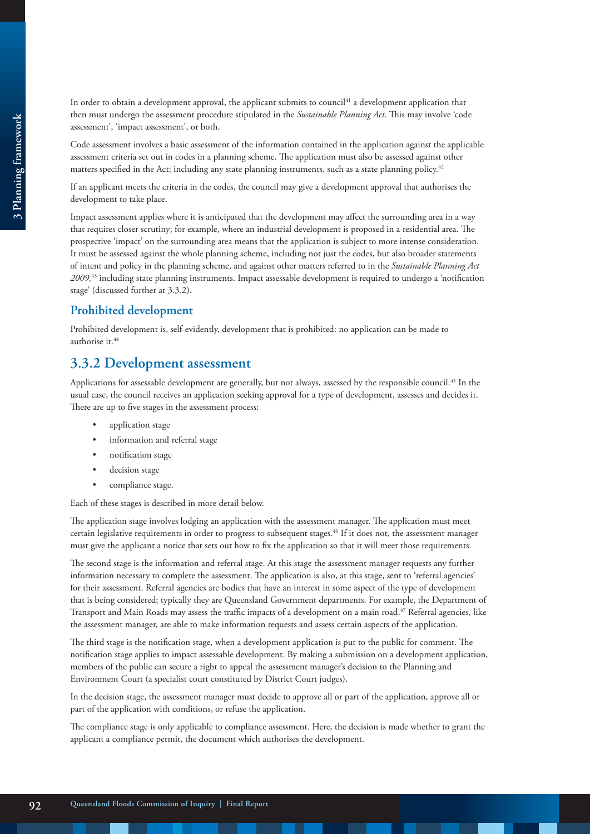In order to obtain a development approval, the applicant submits to council<sup>41</sup> a development application that then must undergo the assessment procedure stipulated in the *Sustainable Planning Act*. This may involve 'code assessment', 'impact assessment', or both.

Code assessment involves a basic assessment of the information contained in the application against the applicable assessment criteria set out in codes in a planning scheme. The application must also be assessed against other matters specified in the Act; including any state planning instruments, such as a state planning policy.<sup>42</sup>

If an applicant meets the criteria in the codes, the council may give a development approval that authorises the development to take place.

Impact assessment applies where it is anticipated that the development may affect the surrounding area in a way that requires closer scrutiny; for example, where an industrial development is proposed in a residential area. The prospective 'impact' on the surrounding area means that the application is subject to more intense consideration. It must be assessed against the whole planning scheme, including not just the codes, but also broader statements of intent and policy in the planning scheme, and against other matters referred to in the *Sustainable Planning Act 2009,*43 including state planning instruments. Impact assessable development is required to undergo a 'notification stage' (discussed further at 3.3.2).

### **Prohibited development**

Prohibited development is, self-evidently, development that is prohibited: no application can be made to authorise it.<sup>44</sup>

### **3.3.2 Development assessment**

Applications for assessable development are generally, but not always, assessed by the responsible council.<sup>45</sup> In the usual case, the council receives an application seeking approval for a type of development, assesses and decides it. There are up to five stages in the assessment process:

- application stage
- information and referral stage
- notification stage
- decision stage
- compliance stage.

Each of these stages is described in more detail below.

The application stage involves lodging an application with the assessment manager. The application must meet certain legislative requirements in order to progress to subsequent stages.46 If it does not, the assessment manager must give the applicant a notice that sets out how to fix the application so that it will meet those requirements.

The second stage is the information and referral stage. At this stage the assessment manager requests any further information necessary to complete the assessment. The application is also, at this stage, sent to 'referral agencies' for their assessment. Referral agencies are bodies that have an interest in some aspect of the type of development that is being considered; typically they are Queensland Government departments. For example, the Department of Transport and Main Roads may assess the traffic impacts of a development on a main road.<sup>47</sup> Referral agencies, like the assessment manager, are able to make information requests and assess certain aspects of the application.

The third stage is the notification stage, when a development application is put to the public for comment. The notification stage applies to impact assessable development. By making a submission on a development application, members of the public can secure a right to appeal the assessment manager's decision to the Planning and Environment Court (a specialist court constituted by District Court judges).

In the decision stage, the assessment manager must decide to approve all or part of the application, approve all or part of the application with conditions, or refuse the application.

The compliance stage is only applicable to compliance assessment. Here, the decision is made whether to grant the applicant a compliance permit, the document which authorises the development.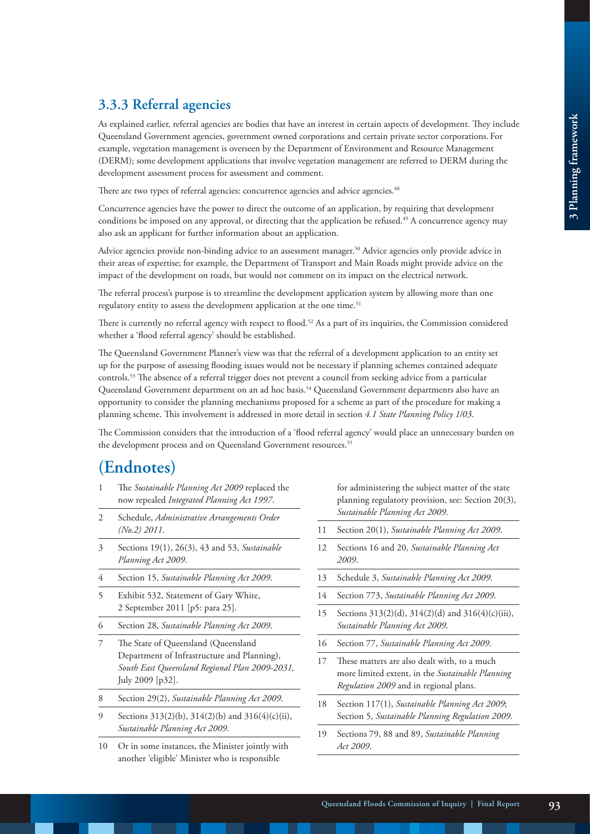# **3.3.3 Referral agencies**

As explained earlier, referral agencies are bodies that have an interest in certain aspects of development. They include Queensland Government agencies, government owned corporations and certain private sector corporations. For example, vegetation management is overseen by the Department of Environment and Resource Management (DERM); some development applications that involve vegetation management are referred to DERM during the development assessment process for assessment and comment.

There are two types of referral agencies: concurrence agencies and advice agencies.<sup>48</sup>

Concurrence agencies have the power to direct the outcome of an application, by requiring that development conditions be imposed on any approval, or directing that the application be refused.<sup>49</sup> A concurrence agency may also ask an applicant for further information about an application.

Advice agencies provide non-binding advice to an assessment manager.<sup>50</sup> Advice agencies only provide advice in their areas of expertise; for example, the Department of Transport and Main Roads might provide advice on the impact of the development on roads, but would not comment on its impact on the electrical network.

The referral process's purpose is to streamline the development application system by allowing more than one regulatory entity to assess the development application at the one time.<sup>51</sup>

There is currently no referral agency with respect to flood.<sup>52</sup> As a part of its inquiries, the Commission considered whether a 'flood referral agency' should be established.

The Queensland Government Planner's view was that the referral of a development application to an entity set up for the purpose of assessing flooding issues would not be necessary if planning schemes contained adequate controls.53 The absence of a referral trigger does not prevent a council from seeking advice from a particular Queensland Government department on an ad hoc basis.<sup>54</sup> Queensland Government departments also have an opportunity to consider the planning mechanisms proposed for a scheme as part of the procedure for making a planning scheme. This involvement is addressed in more detail in section *4.1 State Planning Policy 1/03*.

The Commission considers that the introduction of a 'flood referral agency' would place an unnecessary burden on the development process and on Queensland Government resources.<sup>55</sup>

# **(Endnotes)**

- 1 The *Sustainable Planning Act 2009* replaced the now repealed *Integrated Planning Act 1997*.
- 2 Schedule, *Administrative Arrangements Order (No.2) 2011*.
- 3 Sections 19(1), 26(3), 43 and 53, *Sustainable Planning Act 2009*.
- 4 Section 15, *Sustainable Planning Act 2009*.
- 5 Exhibit 532, Statement of Gary White, 2 September 2011 [p5: para 25].
- 6 Section 28, *Sustainable Planning Act 2009*.
- The State of Queensland (Queensland Department of Infrastructure and Planning), *South East Queensland Regional Plan 2009-2031,*  July 2009 [p32].
- 8 Section 29(2), *Sustainable Planning Act 2009*.
- 9 Sections 313(2)(b), 314(2)(b) and 316(4)(c)(ii), *Sustainable Planning Act 2009*.
- 10 Or in some instances, the Minister jointly with another 'eligible' Minister who is responsible

for administering the subject matter of the state planning regulatory provision, see: Section 20(3), *Sustainable Planning Act 2009*.

- 11 Section 20(1), *Sustainable Planning Act 2009*.
- 12 Sections 16 and 20, *Sustainable Planning Act 2009*.
- 13 Schedule 3, *Sustainable Planning Act 2009*.
- 14 Section 773, *Sustainable Planning Act 2009*.
- 15 Sections 313(2)(d), 314(2)(d) and 316(4)(c)(iii), *Sustainable Planning Act 2009*.
- 16 Section 77, *Sustainable Planning Act 2009*.
- 17 These matters are also dealt with, to a much more limited extent, in the *Sustainable Planning Regulation 2009* and in regional plans.
- 18 Section 117(1), *Sustainable Planning Act 2009*; Section 5, *Sustainable Planning Regulation 2009*.
- 19 Sections 79, 88 and 89, *Sustainable Planning Act 2009*.